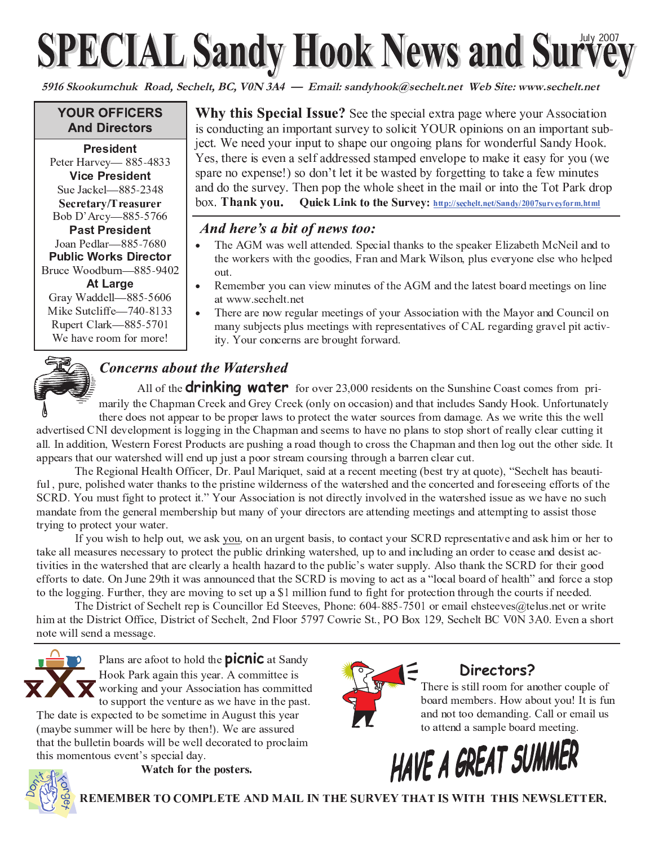# **SPECIAL Sandy Hook News and Survey**

**5916 Skookumchuk Road, Sechelt, BC, V0N 3A4 — Email: sandyhook@sechelt.net Web Site: www.sechelt.net**

#### **YOUR OFFICERS And Directors**

**President**  $\blacksquare$   $\blacksquare$   $\blacksquare$   $\blacksquare$   $\blacksquare$   $\blacksquare$   $\blacksquare$   $\blacksquare$   $\blacksquare$   $\blacksquare$   $\blacksquare$   $\blacksquare$   $\blacksquare$   $\blacksquare$   $\blacksquare$   $\blacksquare$   $\blacksquare$   $\blacksquare$   $\blacksquare$   $\blacksquare$   $\blacksquare$   $\blacksquare$   $\blacksquare$   $\blacksquare$   $\blacksquare$   $\blacksquare$   $\blacksquare$   $\blacksquare$   $\blacksquare$   $\blacksquare$   $\blacksquare$   $\blacks$ **Vice President**  <sup>5</sup> ¦ <sup>=</sup> <sup>=</sup> <sup>&</sup>gt; <sup>&</sup>lt; <sup>=</sup> Secretary/Treasurer <sup>A</sup> - ! - <sup>4</sup> ¦ <sup>=</sup> <sup>=</sup> <sup>&</sup>gt; <sup>&</sup>gt; ? ; ; Past President <sup>5</sup> - ( ¦ <sup>=</sup> <sup>=</sup> <sup>&</sup>gt; ? ; <sup>=</sup> **Public Works Director** <sup>A</sup> & - - ! ¦ <sup>=</sup> <sup>=</sup> <sup>&</sup>gt; <sup>6</sup> <sup>&</sup>lt;  At Large

Gray Waddell-885-5606 . ¦ ? <sup>&</sup>lt;  <sup>=</sup> <sup>8</sup> Rupert Clark—885-5701 & - - - - ¸

**Why this Special Issue?** See the special extra page where your Association is conducting an important survey to solicit YOUR opinions on an important sub-' E S A B E W R S T O K V I G L I E S T O S T O S V P I M L V W R D L V W W E O C S O C T M D L V W R D L V W Yes, there is even a self addressed stamped envelope to make it easy for you (we spare no expense!) so don't let it be wasted by forgetting to take a few minutes and do the survey. Then pop the whole sheet in the mail or into the Tot Park drop box. Thank you. Quick Link to the Survey: http://sechelt.net/Sandy/2007surveyform.html

#### And here's a bit of news too:

- The AGM was well attended. Special thanks to the speaker Elizabeth McNeil and to the workers with the goodies. Fran and Mark Wilson, plus everyone else who helpe
- Remember you can view minutes of the AGM and the latest board meetings on line at www.sechelt.net
- There are now regular meetings of your Association with the Mayor and Council o <sup>1</sup> - - ! - # - "

## **Concerns about the Watershed**

All of the **drinking water** for over 23,000 residents on the Sunshine Coast comes from pri . He defined a set of  $\mathcal{A}$  is a set of  $\mathcal{A}$  is a set of  $\mathcal{A}$  is a set of  $\mathcal{A}$  is a set of  $\mathcal{A}$  is a set of  $\mathcal{A}$  is a set of  $\mathcal{A}$  is a set of  $\mathcal{A}$  is a set of  $\mathcal{A}$  is a set of  $\mathcal{A}$  i - - - ! - " - - " - - # " " "  $\overline{a}$  ,  $\overline{a}$  ,  $\overline{a}$  ,  $\overline{a}$  ,  $\overline{a}$  ,  $\overline{a}$  ,  $\overline{a}$  ,  $\overline{a}$  ,  $\overline{a}$  ,  $\overline{a}$  ,  $\overline{a}$  ,  $\overline{a}$  ,  $\overline{a}$  ,  $\overline{a}$  ,  $\overline{a}$  ,  $\overline{a}$  ,  $\overline{a}$  ,  $\overline{a}$  ,  $\overline{a}$  ,  $\overline{a}$  , all. In addition, Western Forest Products are pushing a road though to cross the Chapman and then log out the other side. I - " " ) - - - # - # !

\* <sup>+</sup> # - , - ( . / # ! / - <sup>0</sup> ! - " - " - " - - # - - <sup>+</sup> - <sup>1</sup> - # - - <sup>2</sup> <sup>1</sup> - - - - - " " - - # ! ! - - - # # # - - # - - - "

% - " - - " - - # ! - - - <sup>+</sup> - - -  $\mathcal{L}=\mathcal{L}=\mathcal{L}=\mathcal{L}=\mathcal{L}=\mathcal{L}=\mathcal{L}=\mathcal{L}=\mathcal{L}=\mathcal{L}=\mathcal{L}=\mathcal{L}=\mathcal{L}=\mathcal{L}=\mathcal{L}=\mathcal{L}=\mathcal{L}=\mathcal{L}=\mathcal{L}=\mathcal{L}=\mathcal{L}=\mathcal{L}=\mathcal{L}=\mathcal{L}=\mathcal{L}=\mathcal{L}=\mathcal{L}=\mathcal{L}=\mathcal{L}=\mathcal{L}=\mathcal{L}=\mathcal{L}=\mathcal{L}=\mathcal{L}=\mathcal{L}=\mathcal{L}=\mathcal{$  $\mathcal{A} = \{ \mathcal{A} \mid \mathcal{A} \text{ and } \mathcal{A} \text{ and } \mathcal{A} \text{ and } \mathcal{A} \text{ are } \mathcal{A} \text{ and } \mathcal{A} \text{ are } \mathcal{A} \text{ and } \mathcal{A} \text{ are } \mathcal{A} \text{ and } \mathcal{A} \text{ are } \mathcal{A} \text{ and } \mathcal{A} \text{ are } \mathcal{A} \text{ and } \mathcal{A} \text{ are } \mathcal{A} \text{ and } \mathcal{A} \text{ are } \mathcal{A} \text{ and } \mathcal{A} \text{ are } \mathcal{A$ المقاعد المقاطر المقاطر المقاطر المقاطر المقاطر المقاطر المقاطر المقاطر المقاطر المقاطر المقاطر المقاطر المقاط to the logging. Further, they are moving to set up a \$1 million fund to fight for protection through the courts if needed

\* - - - - <sup>9</sup> ( - : ;  <sup>&</sup>lt; <sup>=</sup> <sup>=</sup> <sup>&</sup>gt; ? <sup>&</sup>gt;  <sup>8</sup> - @ - " him at the District Office. District of Sechelt, 2nd Floor 5797 Cowrie St., PO Box 129, Sechelt BC V0N 3A0. Even a shor - " #



Plans are afoot to hold the **picnic** at Sand - - ( # - " - # - - - - - - "

\* <sup>B</sup> - ! - # (maybe summer will be here by then!). We are assured ! ! - " ! " - - -  $\blacksquare$  . The set of the set of the set of the set of the set of the set of the set of the set of the set of the set of the set of the set of the set of the set of the set of the set of the set of the set of the set of the





### **Directors?**

\* - - - - - - ! - ! - " ! - - ¸ % - - - # - - ! - #



<sup>º</sup> © } <sup>y</sup> » <sup>~</sup> } <sup>¼</sup> <sup>~</sup> <sup>¬</sup> } <sup>¬</sup> <sup>½</sup>

 $\alpha$  and entity  $\alpha$  and  $\alpha$  and  $\alpha$  is the  $\alpha$  is the first  $\alpha$  of  $\alpha$  is the first  $\alpha$  and  $\alpha$  and  $\alpha$  and  $\alpha$